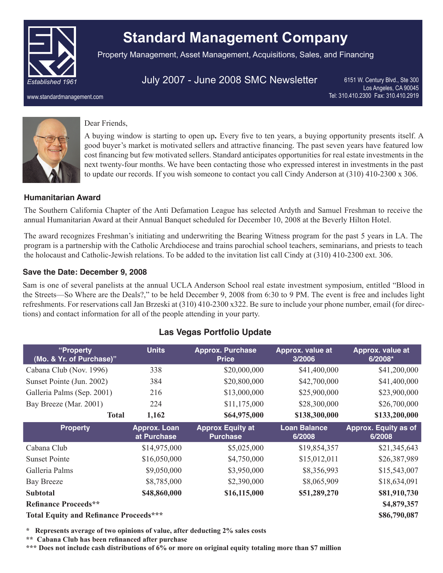

www.standardmanagement.com

# **Standard Management Company**

Property Management, Asset Management, Acquisitions, Sales, and Financing

# July 2007 - June 2008 SMC Newsletter

6151 W. Century Blvd., Ste 300 Los Angeles, CA 90045 Tel: 310.410.2300 Fax: 310.410.2919

## Dear Friends,

A buying window is starting to open up**.** Every five to ten years, a buying opportunity presents itself. A good buyer's market is motivated sellers and attractive financing. The past seven years have featured low cost financing but few motivated sellers. Standard anticipates opportunities for real estate investments in the next twenty-four months. We have been contacting those who expressed interest in investments in the past to update our records. If you wish someone to contact you call Cindy Anderson at (310) 410-2300 x 306.

## **Humanitarian Award**

The Southern California Chapter of the Anti Defamation League has selected Ardyth and Samuel Freshman to receive the annual Humanitarian Award at their Annual Banquet scheduled for December 10, 2008 at the Beverly Hilton Hotel.

The award recognizes Freshman's initiating and underwriting the Bearing Witness program for the past 5 years in LA. The program is a partnership with the Catholic Archdiocese and trains parochial school teachers, seminarians, and priests to teach the holocaust and Catholic-Jewish relations. To be added to the invitation list call Cindy at (310) 410-2300 ext. 306.

## **Save the Date: December 9, 2008**

Sam is one of several panelists at the annual UCLA Anderson School real estate investment symposium, entitled "Blood in the Streets—So Where are the Deals?," to be held December 9, 2008 from 6:30 to 9 PM. The event is free and includes light refreshments. For reservations call Jan Brzeski at (310) 410-2300 x322. Be sure to include your phone number, email (for directions) and contact information for all of the people attending in your party.

| "Property                   | <b>Units</b>                | <b>Approx. Purchase</b>                    | Approx. value at              | Approx. value at               |
|-----------------------------|-----------------------------|--------------------------------------------|-------------------------------|--------------------------------|
| (Mo. & Yr. of Purchase)"    |                             | <b>Price</b>                               | 3/2006                        | $6/2008*$                      |
| Cabana Club (Nov. 1996)     | 338                         | \$20,000,000                               | \$41,400,000                  | \$41,200,000                   |
| Sunset Pointe (Jun. 2002)   | 384                         | \$20,800,000                               | \$42,700,000                  | \$41,400,000                   |
| Galleria Palms (Sep. 2001)  | 216                         | \$13,000,000                               | \$25,900,000                  | \$23,900,000                   |
| Bay Breeze (Mar. 2001)      | 224                         | \$11,175,000                               | \$28,300,000                  | \$26,700,000                   |
| <b>Total</b>                | 1,162                       | \$64,975,000                               | \$138,300,000                 | \$133,200,000                  |
| <b>Property</b>             | Approx. Loan<br>at Purchase | <b>Approx Equity at</b><br><b>Purchase</b> | <b>Loan Balance</b><br>6/2008 | Approx. Equity as of<br>6/2008 |
| Cabana Club                 | \$14,975,000                | \$5,025,000                                | \$19,854,357                  | \$21,345,643                   |
| <b>Sunset Pointe</b>        |                             |                                            |                               |                                |
|                             | \$16,050,000                | \$4,750,000                                | \$15,012,011                  | \$26,387,989                   |
| Galleria Palms              | \$9,050,000                 | \$3,950,000                                | \$8,356,993                   | \$15,543,007                   |
| <b>Bay Breeze</b>           | \$8,785,000                 | \$2,390,000                                | \$8,065,909                   | \$18,634,091                   |
| <b>Subtotal</b>             | \$48,860,000                | \$16,115,000                               | \$51,289,270                  | \$81,910,730                   |
| <b>Refinance Proceeds**</b> |                             |                                            |                               | \$4,879,357                    |

**\* Represents average of two opinions of value, after deducting 2% sales costs**

**\*\* Cabana Club has been refinanced after purchase**

- 1 - **\*\*\* Does not include cash distributions of 6% or more on original equity totaling more than \$7 million**

# **Las Vegas Portfolio Update**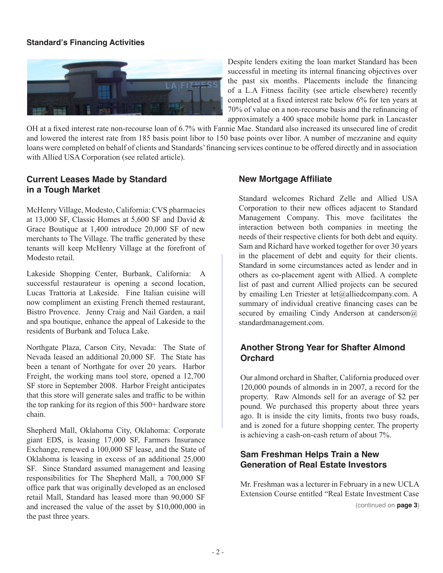#### **Standard's Financing Activities**



Despite lenders exiting the loan market Standard has been successful in meeting its internal financing objectives over the past six months. Placements include the financing of a L.A Fitness facility (see article elsewhere) recently completed at a fixed interest rate below 6% for ten years at 70% of value on a non-recourse basis and the refinancing of approximately a 400 space mobile home park in Lancaster

OH at a fixed interest rate non-recourse loan of 6.7% with Fannie Mae. Standard also increased its unsecured line of credit and lowered the interest rate from 185 basis point libor to 150 base points over libor. A number of mezzanine and equity loans were completed on behalf of clients and Standards' financing services continue to be offered directly and in association with Allied USA Corporation (see related article).

## **Current Leases Made by Standard in a Tough Market**

McHenry Village, Modesto, California: CVS pharmacies at 13,000 SF, Classic Homes at 5,600 SF and David & Grace Boutique at 1,400 introduce 20,000 SF of new merchants to The Village. The traffic generated by these tenants will keep McHenry Village at the forefront of Modesto retail.

Lakeside Shopping Center, Burbank, California: A successful restaurateur is opening a second location, Lucas Trattoria at Lakeside. Fine Italian cuisine will now compliment an existing French themed restaurant, Bistro Provence. Jenny Craig and Nail Garden, a nail and spa boutique, enhance the appeal of Lakeside to the residents of Burbank and Toluca Lake.

Northgate Plaza, Carson City, Nevada: The State of Nevada leased an additional 20,000 SF. The State has been a tenant of Northgate for over 20 years. Harbor Freight, the working mans tool store, opened a 12,700 SF store in September 2008. Harbor Freight anticipates that this store will generate sales and traffic to be within the top ranking for its region of this 500+ hardware store chain.

Shepherd Mall, Oklahoma City, Oklahoma: Corporate giant EDS, is leasing 17,000 SF, Farmers Insurance Exchange, renewed a 100,000 SF lease, and the State of Oklahoma is leasing in excess of an additional 25,000 SF. Since Standard assumed management and leasing responsibilities for The Shepherd Mall, a 700,000 SF office park that was originally developed as an enclosed retail Mall, Standard has leased more than 90,000 SF and increased the value of the asset by \$10,000,000 in the past three years.

#### **New Mortgage Affiliate**

Standard welcomes Richard Zelle and Allied USA Corporation to their new offices adjacent to Standard Management Company. This move facilitates the interaction between both companies in meeting the needs of their respective clients for both debt and equity. Sam and Richard have worked together for over 30 years in the placement of debt and equity for their clients. Standard in some circumstances acted as lender and in others as co-placement agent with Allied. A complete list of past and current Allied projects can be secured by emailing Len Triester at let@alliedcompany.com. A summary of individual creative financing cases can be secured by emailing Cindy Anderson at canderson $\omega$ standardmanagement.com.

## **Another Strong Year for Shafter Almond Orchard**

Our almond orchard in Shafter, California produced over 120,000 pounds of almonds in in 2007, a record for the property. Raw Almonds sell for an average of \$2 per pound. We purchased this property about three years ago. It is inside the city limits, fronts two busy roads, and is zoned for a future shopping center. The property is achieving a cash-on-cash return of about 7%.

### **Sam Freshman Helps Train a New Generation of Real Estate Investors**

Mr. Freshman was a lecturer in February in a new UCLA Extension Course entitled "Real Estate Investment Case (continued on **page 3**)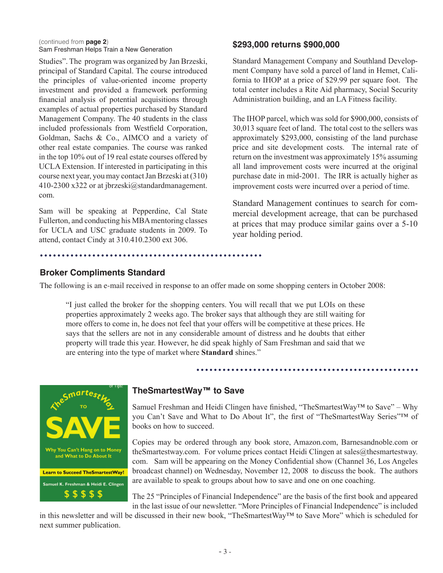(continued from **page 2**) Sam Freshman Helps Train a New Generation

Studies". The program was organized by Jan Brzeski, principal of Standard Capital. The course introduced the principles of value-oriented income property investment and provided a framework performing financial analysis of potential acquisitions through examples of actual properties purchased by Standard Management Company. The 40 students in the class included professionals from Westfield Corporation, Goldman, Sachs & Co., AIMCO and a variety of other real estate companies. The course was ranked in the top 10% out of 19 real estate courses offered by UCLA Extension. If interested in participating in this course next year, you may contact Jan Brzeski at (310) 410-2300 x322 or at jbrzeski@standardmanagement. com.

Sam will be speaking at Pepperdine, Cal State Fullerton, and conducting his MBA mentoring classes for UCLA and USC graduate students in 2009. To attend, contact Cindy at 310.410.2300 ext 306.

#### **\$293,000 returns \$900,000**

Standard Management Company and Southland Development Company have sold a parcel of land in Hemet, California to IHOP at a price of \$29.99 per square foot. The total center includes a Rite Aid pharmacy, Social Security Administration building, and an LA Fitness facility.

The IHOP parcel, which was sold for \$900,000, consists of 30,013 square feet of land. The total cost to the sellers was approximately \$293,000, consisting of the land purchase price and site development costs. The internal rate of return on the investment was approximately 15% assuming all land improvement costs were incurred at the original purchase date in mid-2001. The IRR is actually higher as improvement costs were incurred over a period of time.

Standard Management continues to search for commercial development acreage, that can be purchased at prices that may produce similar gains over a 5-10 year holding period.

#### **Broker Compliments Standard**

The following is an e-mail received in response to an offer made on some shopping centers in October 2008:

"I just called the broker for the shopping centers. You will recall that we put LOIs on these properties approximately 2 weeks ago. The broker says that although they are still waiting for more offers to come in, he does not feel that your offers will be competitive at these prices. He says that the sellers are not in any considerable amount of distress and he doubts that either property will trade this year. However, he did speak highly of Sam Freshman and said that we are entering into the type of market where **Standard** shines."



#### **TheSmartestWay™ to Save**

Samuel Freshman and Heidi Clingen have finished, "TheSmartestWay<sup>™</sup> to Save" – Why you Can't Save and What to Do About It", the first of "TheSmartestWay Series"™ of books on how to succeed.

. . . . . . . . . . . . . . . . .

Copies may be ordered through any book store, Amazon.com, Barnesandnoble.com or theSmartestway.com. For volume prices contact Heidi Clingen at sales@thesmartestway. com. Sam will be appearing on the Money Confidential show (Channel 36, Los Angeles broadcast channel) on Wednesday, November 12, 2008 to discuss the book. The authors are available to speak to groups about how to save and one on one coaching.

The 25 "Principles of Financial Independence" are the basis of the first book and appeared in the last issue of our newsletter. "More Principles of Financial Independence" is included

in this newsletter and will be discussed in their new book, "TheSmartestWay™ to Save More" which is scheduled for next summer publication.